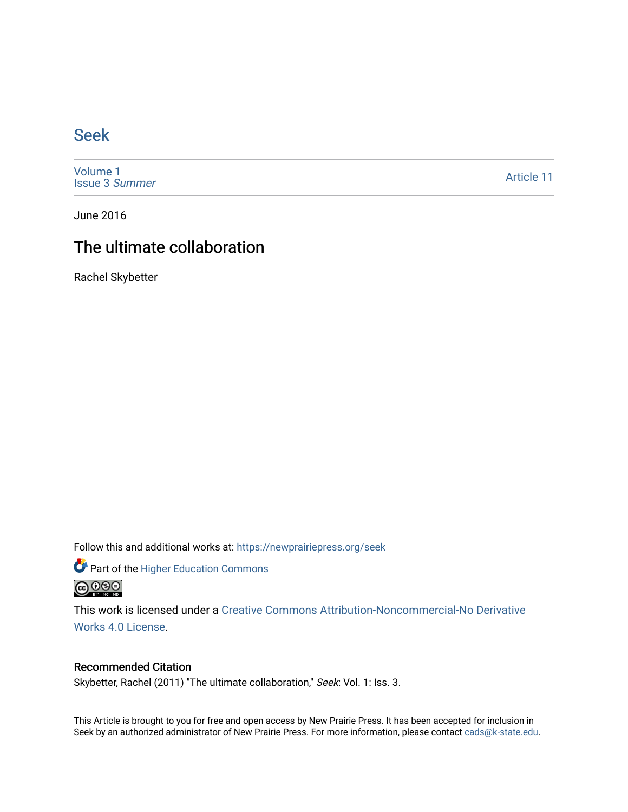### [Seek](https://newprairiepress.org/seek)

[Volume 1](https://newprairiepress.org/seek/vol1) [Issue 3](https://newprairiepress.org/seek/vol1/iss3) Summer

[Article 11](https://newprairiepress.org/seek/vol1/iss3/11) 

June 2016

## The ultimate collaboration

Rachel Skybetter

Follow this and additional works at: [https://newprairiepress.org/seek](https://newprairiepress.org/seek?utm_source=newprairiepress.org%2Fseek%2Fvol1%2Fiss3%2F11&utm_medium=PDF&utm_campaign=PDFCoverPages)

Part of the [Higher Education Commons](http://network.bepress.com/hgg/discipline/1245?utm_source=newprairiepress.org%2Fseek%2Fvol1%2Fiss3%2F11&utm_medium=PDF&utm_campaign=PDFCoverPages) 



This work is licensed under a [Creative Commons Attribution-Noncommercial-No Derivative](https://creativecommons.org/licenses/by-nc-nd/4.0/)  [Works 4.0 License](https://creativecommons.org/licenses/by-nc-nd/4.0/).

#### Recommended Citation

Skybetter, Rachel (2011) "The ultimate collaboration," Seek: Vol. 1: Iss. 3.

This Article is brought to you for free and open access by New Prairie Press. It has been accepted for inclusion in Seek by an authorized administrator of New Prairie Press. For more information, please contact [cads@k-state.edu](mailto:cads@k-state.edu).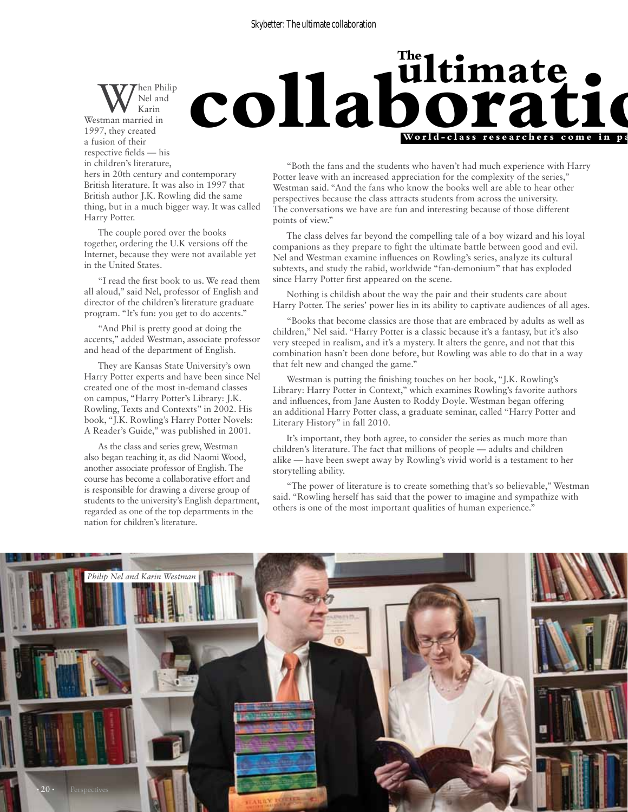**ultimate collaboration**

hen Philip Nel and Karin Westman married in 1997, they created a fusion of their respective fields — his in children's literature,

hers in 20th century and contemporary British literature. It was also in 1997 that British author J.K. Rowling did the same thing, but in a much bigger way. It was called Harry Potter.

The couple pored over the books together, ordering the U.K versions off the Internet, because they were not available yet in the United States.

"I read the first book to us. We read them all aloud," said Nel, professor of English and director of the children's literature graduate program. "It's fun: you get to do accents."

"And Phil is pretty good at doing the accents," added Westman, associate professor and head of the department of English.

They are Kansas State University's own Harry Potter experts and have been since Nel created one of the most in-demand classes on campus, "Harry Potter's Library: J.K. Rowling, Texts and Contexts" in 2002. His book, "J.K. Rowling's Harry Potter Novels: A Reader's Guide," was published in 2001.

As the class and series grew, Westman also began teaching it, as did Naomi Wood, another associate professor of English. The course has become a collaborative effort and is responsible for drawing a diverse group of students to the university's English department, regarded as one of the top departments in the nation for children's literature.

"Both the fans and the students who haven't had much experience with Harry Potter leave with an increased appreciation for the complexity of the series," Westman said. "And the fans who know the books well are able to hear other perspectives because the class attracts students from across the university. The conversations we have are fun and interesting because of those different points of view."

**Wo r ld-cla s s r esea r c h e r s come i n pai r s**

**<u>ultimate</u>** 

The class delves far beyond the compelling tale of a boy wizard and his loyal companions as they prepare to fight the ultimate battle between good and evil. Nel and Westman examine influences on Rowling's series, analyze its cultural subtexts, and study the rabid, worldwide "fan-demonium" that has exploded since Harry Potter first appeared on the scene.

Nothing is childish about the way the pair and their students care about Harry Potter. The series' power lies in its ability to captivate audiences of all ages.

"Books that become classics are those that are embraced by adults as well as children," Nel said. "Harry Potter is a classic because it's a fantasy, but it's also very steeped in realism, and it's a mystery. It alters the genre, and not that this combination hasn't been done before, but Rowling was able to do that in a way that felt new and changed the game."

Westman is putting the finishing touches on her book, "J.K. Rowling's Library: Harry Potter in Context," which examines Rowling's favorite authors and influences, from Jane Austen to Roddy Doyle. Westman began offering an additional Harry Potter class, a graduate seminar, called "Harry Potter and Literary History" in fall 2010.

It's important, they both agree, to consider the series as much more than children's literature. The fact that millions of people — adults and children alike — have been swept away by Rowling's vivid world is a testament to her storytelling ability.

"The power of literature is to create something that's so believable," Westman said. "Rowling herself has said that the power to imagine and sympathize with others is one of the most important qualities of human experience."

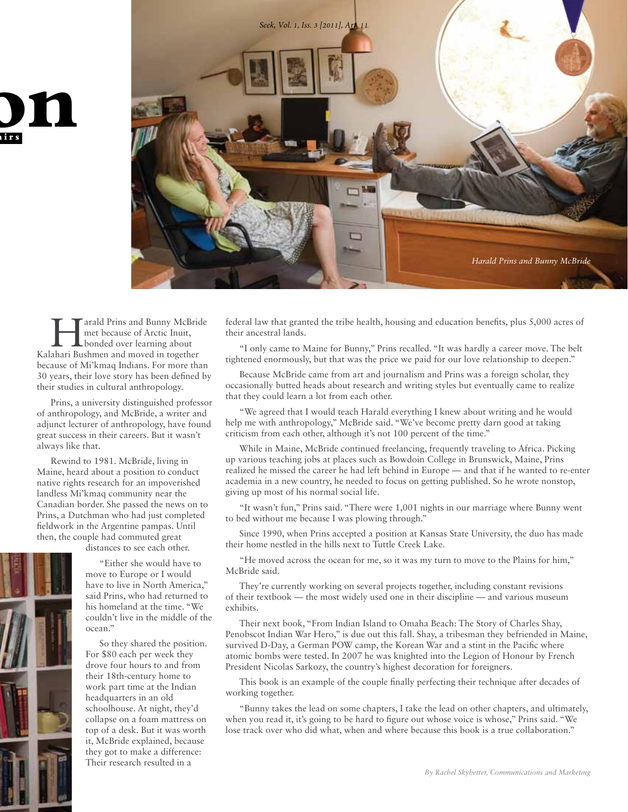

arald Prins and Bunny McBride met because of Arctic Inuit, bonded over learning about Kalahari Bushmen and moved in together because of Mi'kmaq Indians. For more than 30 years, their love story has been defined by their studies in cultural anthropology.

**p** 

**Wo r ld-cla s s r esea r c h e r s come i n pai r s**

Prins, a university distinguished professor of anthropology, and McBride, a writer and adjunct lecturer of anthropology, have found great success in their careers. But it wasn't always like that.

Rewind to 1981. McBride, living in Maine, heard about a position to conduct native rights research for an impoverished landless Mi'kmaq community near the Canadian border. She passed the news on to Prins, a Dutchman who had just completed fieldwork in the Argentine pampas. Until then, the couple had commuted great

distances to see each other.

"Either she would have to move to Europe or I would have to live in North America," said Prins, who had returned to his homeland at the time. "We couldn't live in the middle of the ocean."

So they shared the position. For \$80 each per week they drove four hours to and from their 18th-century home to work part time at the Indian headquarters in an old schoolhouse. At night, they'd collapse on a foam mattress on top of a desk. But it was worth it, McBride explained, because they got to make a difference: Their research resulted in a

federal law that granted the tribe health, housing and education benefits, plus 5,000 acres of their ancestral lands.

"I only came to Maine for Bunny," Prins recalled. "It was hardly a career move. The belt tightened enormously, but that was the price we paid for our love relationship to deepen."

Because McBride came from art and journalism and Prins was a foreign scholar, they occasionally butted heads about research and writing styles but eventually came to realize that they could learn a lot from each other.

"We agreed that I would teach Harald everything I knew about writing and he would help me with anthropology," McBride said. "We've become pretty darn good at taking criticism from each other, although it's not 100 percent of the time."

While in Maine, McBride continued freelancing, frequently traveling to Africa. Picking up various teaching jobs at places such as Bowdoin College in Brunswick, Maine, Prins realized he missed the career he had left behind in Europe — and that if he wanted to re-enter academia in a new country, he needed to focus on getting published. So he wrote nonstop, giving up most of his normal social life.

"It wasn't fun," Prins said. "There were 1,001 nights in our marriage where Bunny went to bed without me because I was plowing through."

Since 1990, when Prins accepted a position at Kansas State University, the duo has made their home nestled in the hills next to Tuttle Creek Lake.

"He moved across the ocean for me, so it was my turn to move to the Plains for him," McBride said.

They're currently working on several projects together, including constant revisions of their textbook — the most widely used one in their discipline — and various museum exhibits.

Their next book, "From Indian Island to Omaha Beach: The Story of Charles Shay, Penobscot Indian War Hero," is due out this fall. Shay, a tribesman they befriended in Maine, survived D-Day, a German POW camp, the Korean War and a stint in the Pacific where atomic bombs were tested. In 2007 he was knighted into the Legion of Honour by French President Nicolas Sarkozy, the country's highest decoration for foreigners.

This book is an example of the couple finally perfecting their technique after decades of working together.

"Bunny takes the lead on some chapters, I take the lead on other chapters, and ultimately, when you read it, it's going to be hard to figure out whose voice is whose," Prins said. "We lose track over who did what, when and where because this book is a true collaboration."